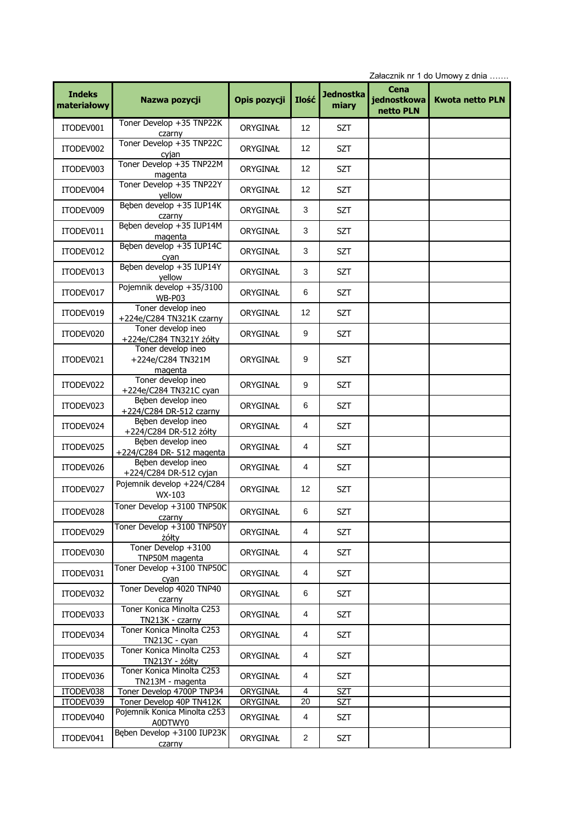|               |                                                    | Załacznik nr 1 do Umowy z dnia |                   |                  |             |                        |  |  |
|---------------|----------------------------------------------------|--------------------------------|-------------------|------------------|-------------|------------------------|--|--|
| <b>Indeks</b> |                                                    |                                |                   | <b>Jednostka</b> | Cena        |                        |  |  |
| materiałowy   | Nazwa pozycji                                      | Opis pozycji                   | Ilość             | miary            | jednostkowa | <b>Kwota netto PLN</b> |  |  |
|               |                                                    |                                |                   |                  | netto PLN   |                        |  |  |
| ITODEV001     | Toner Develop +35 TNP22K<br>czarny                 | ORYGINAŁ                       | 12                | <b>SZT</b>       |             |                        |  |  |
|               | Toner Develop +35 TNP22C                           |                                |                   |                  |             |                        |  |  |
| ITODEV002     | cyjan                                              | ORYGINAŁ                       | 12                | <b>SZT</b>       |             |                        |  |  |
| ITODEV003     | Toner Develop +35 TNP22M<br>magenta                | ORYGINAŁ                       | $12 \overline{ }$ | <b>SZT</b>       |             |                        |  |  |
| ITODEV004     | Toner Develop +35 TNP22Y                           | ORYGINAŁ                       | 12                | <b>SZT</b>       |             |                        |  |  |
| ITODEV009     | yellow<br>Beben develop +35 IUP14K                 | ORYGINAŁ                       | 3                 | <b>SZT</b>       |             |                        |  |  |
| ITODEV011     | czarny<br>Bęben develop +35 IUP14M                 |                                | 3                 | <b>SZT</b>       |             |                        |  |  |
|               | magenta<br>Bęben develop +35 IUP14C                | ORYGINAŁ                       |                   |                  |             |                        |  |  |
| ITODEV012     | cyan                                               | ORYGINAŁ                       | 3                 | <b>SZT</b>       |             |                        |  |  |
| ITODEV013     | Bęben develop +35 IUP14Y<br>yellow                 | ORYGINAŁ                       | 3                 | <b>SZT</b>       |             |                        |  |  |
| ITODEV017     | Pojemnik develop +35/3100<br>WB-P03                | ORYGINAŁ                       | 6                 | <b>SZT</b>       |             |                        |  |  |
| ITODEV019     | Toner develop ineo<br>+224e/C284 TN321K czarny     | ORYGINAŁ                       | 12                | <b>SZT</b>       |             |                        |  |  |
| ITODEV020     | Toner develop ineo                                 | ORYGINAŁ                       | 9                 | <b>SZT</b>       |             |                        |  |  |
|               | +224e/C284 TN321Y żółty<br>Toner develop ineo      |                                |                   |                  |             |                        |  |  |
| ITODEV021     | +224e/C284 TN321M<br>magenta                       | ORYGINAŁ                       | 9                 | SZT              |             |                        |  |  |
| ITODEV022     | Toner develop ineo                                 | ORYGINAŁ                       | 9                 | <b>SZT</b>       |             |                        |  |  |
| ITODEV023     | +224e/C284 TN321C cyan<br>Beben develop ineo       | ORYGINAŁ                       | 6                 | <b>SZT</b>       |             |                        |  |  |
|               | +224/C284 DR-512 czarny<br>Beben develop ineo      |                                |                   |                  |             |                        |  |  |
| ITODEV024     | +224/C284 DR-512 żółty<br>Beben develop ineo       | ORYGINAŁ                       | 4                 | <b>SZT</b>       |             |                        |  |  |
| ITODEV025     | +224/C284 DR- 512 magenta                          | ORYGINAŁ                       | 4                 | <b>SZT</b>       |             |                        |  |  |
| ITODEV026     | Beben develop ineo<br>+224/C284 DR-512 cyjan       | ORYGINAŁ                       | 4                 | <b>SZT</b>       |             |                        |  |  |
| ITODEV027     | Pojemnik develop +224/C284<br>WX-103               | ORYGINAŁ                       | 12                | <b>SZT</b>       |             |                        |  |  |
| ITODEV028     | Toner Develop +3100 TNP50K<br>czarny               | ORYGINAŁ                       | 6                 | <b>SZT</b>       |             |                        |  |  |
| ITODEV029     | Toner Develop +3100 TNP50Y                         | ORYGINAŁ                       | 4                 | SZT              |             |                        |  |  |
| ITODEV030     | żółty<br>Toner Develop +3100                       | ORYGINAŁ                       | 4                 | <b>SZT</b>       |             |                        |  |  |
| ITODEV031     | TNP50M magenta<br>Toner Develop +3100 TNP50C       | ORYGINAŁ                       | 4                 | SZT              |             |                        |  |  |
|               | cyan<br>Toner Develop 4020 TNP40                   |                                | 6                 |                  |             |                        |  |  |
| ITODEV032     | czarny<br>Toner Konica Minolta C253                | ORYGINAŁ                       |                   | <b>SZT</b>       |             |                        |  |  |
| ITODEV033     | TN213K - czarny                                    | ORYGINAŁ                       | 4                 | <b>SZT</b>       |             |                        |  |  |
| ITODEV034     | Toner Konica Minolta C253<br>TN213C - cyan         | ORYGINAŁ                       | 4                 | <b>SZT</b>       |             |                        |  |  |
| ITODEV035     | Toner Konica Minolta C253<br><b>TN213Y - żółty</b> | ORYGINAŁ                       | 4                 | <b>SZT</b>       |             |                        |  |  |
| ITODEV036     | Toner Konica Minolta C253<br>TN213M - magenta      | ORYGINAŁ                       | 4                 | <b>SZT</b>       |             |                        |  |  |
| ITODEV038     | Toner Develop 4700P TNP34                          | ORYGINAŁ                       | 4                 | <b>SZT</b>       |             |                        |  |  |
| ITODEV039     | Toner Develop 40P TN412K                           | ORYGINAŁ                       | 20                | <b>SZT</b>       |             |                        |  |  |
| ITODEV040     | Pojemnik Konica Minolta c253<br>A0DTWY0            | ORYGINAŁ                       | 4                 | <b>SZT</b>       |             |                        |  |  |
| ITODEV041     | Bęben Develop +3100 IUP23K<br>czarny               | ORYGINAŁ                       | $\overline{2}$    | SZT              |             |                        |  |  |